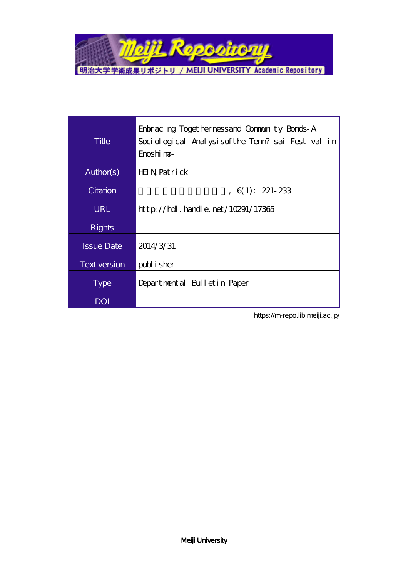

| Title               | Enbracing Togethernessand Community Bonds-A<br>Sociological Analysisofthe Tenn?-sai Festival in<br>Enoshi na- |
|---------------------|---------------------------------------------------------------------------------------------------------------|
| Author(s)           | HIN Patrick                                                                                                   |
| Citation            | $, 6(1): 221-233$                                                                                             |
| <b>URL</b>          | $\frac{\text{http}}{\text{12365}}$ hand e. net / 10291/17365                                                  |
| <b>Rights</b>       |                                                                                                               |
| <b>Issue Date</b>   | 2014/3/31                                                                                                     |
| <b>Text version</b> | publisher                                                                                                     |
| <b>Type</b>         | Departmental Bulletin Paper                                                                                   |
| <b>DOI</b>          |                                                                                                               |

https://m-repo.lib.meiji.ac.jp/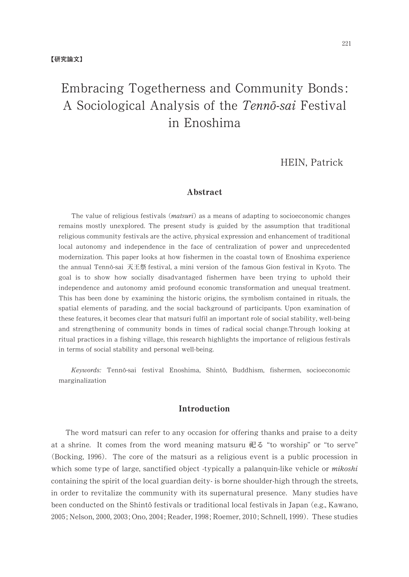# Embracing Togetherness and Community Bonds: A Sociological Analysis of the Tennō-sai Festival in Enoshima

HEIN, Patrick

### Abstract

The value of religious festivals ( $matsuri$ ) as a means of adapting to socioeconomic changes remains mostly unexplored. The present study is guided by the assumption that traditional religious community festivals are the active, physical expression and enhancement of traditional local autonomy and independence in the face of centralization of power and unprecedented modernization. This paper looks at how fishermen in the coastal town of Enoshima experience the annual Tennō-sai 天王祭 festival, a mini version of the famous Gion festival in Kyoto. The goalisto show how socially disadvantaged fishermen havebeen trying to uphold their independence and autonomy amid profound economic transformation and unequal treatment. This has been done by examining the historic origins, the symbolism contained in rituals, the spatial elements of parading, and the social background of participants. Upon examination of these features, it becomes clear that matsuri fulfil an important role of social stability, well-being and strengthening of community bonds in times of radical social change.Through looking at ritual practices in a fishing village, this research highlights the importance of religious festivals in terms of social stability and personal well-being.

Keywords: Tennō-sai festival Enoshima, Shintō, Buddhism, fishermen, socioeconomic marginalization

## Introduction

The word matsuri can refer to any occasion for offering thanks and praise to a deity at a shrine. It comes from the word meaning matsuru 祀る "to worship" or "to serve" (Bocking, 1996). The core of the matsuri as a religious event is a public procession in which some type of large, sanctified object -typically a palanquin-like vehicle or *mikoshi* containing the spirit of the local guardian deity- is borne shoulder-high through the streets, in order to revitalize the community with its supernatural presence. Many studies have been conducted on the Shintō festivals or traditional local festivals in Japan (e.g., Kawano, 2005; Nelson, 2000, 2003; Ono, 2004; Reader, 1998; Roemer, 2010; Schnell, 1999). These studies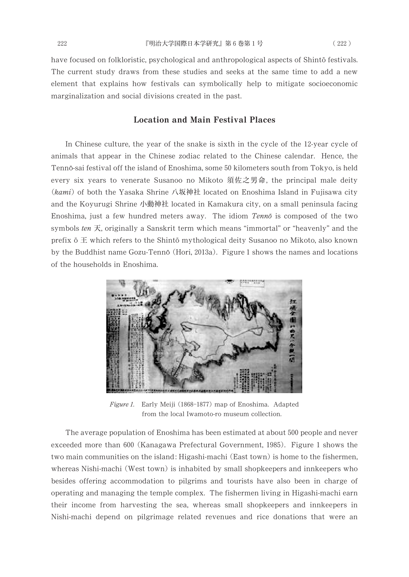have focused on folkloristic, psychological and anthropological aspects of Shintō festivals. The current study draws from these studies and seeks at the same time to add a new element that explains how festivals can symbolically help to mitigate socioeconomic marginalization and social divisions created in the past.

#### Location and Main Festival Places

In Chinese culture, the year of the snake is sixth in the cycle of the 12-year cycle of animals that appear in the Chinese zodiac related to the Chinese calendar. Hence, the Tennō-sai festival off the island of Enoshima, some 50 kilometers south from Tokyo, is held every six years to venerate Susanoo no Mikoto 須佐之男命, the principal male deity (kami) of both the Yasaka Shrine 八坂神社 located on Enoshima Island in Fujisawa city and the Koyurugi Shrine 小動神社 located in Kamakura city, on a small peninsula facing Enoshima, just a few hundred meters away. The idiom Tennō is composed of the two symbols ten  $\overline{R}$ , originally a Sanskrit term which means "immortal" or "heavenly" and the prefix  $\bar{\text{o}} \pm$  which refers to the Shintō mythological deity Susanoo no Mikoto, also known by the Buddhist name Gozu-Tennō (Hori, 2013a). Figure 1 shows the names and locations of the households in Enoshima.



Figure 1. Early Meiji (1868-1877) map of Enoshima. Adapted from the local Iwamoto-ro museum collection.

The average population of Enoshima has been estimated at about 500 people and never exceeded more than 600 (Kanagawa Prefectural Government, 1985). Figure 1 shows the two main communities on the island: Higashi-machi (East town) is home to the fishermen, whereas Nishi-machi (West town) is inhabited by small shopkeepers and innkeepers who besides offering accommodation to pilgrims and tourists have also been in charge of operating and managing the temple complex. The fishermen living in Higashi-machi earn their income from harvesting the sea, whereas small shopkeepers and innkeepers in Nishi-machi depend on pilgrimage related revenues and rice donations that were an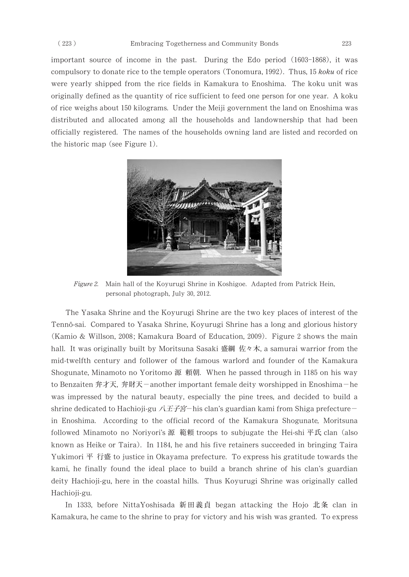important source of income in the past. During the Edo period (1603-1868), it was compulsory to donate rice to the temple operators (Tonomura, 1992). Thus, 15 koku of rice were yearly shipped from the rice fields in Kamakura to Enoshima. The koku unit was originally defined as the quantity of rice sufficient to feed one person for one year. A koku of rice weighs about 150 kilograms. Under the Meiji government the land on Enoshima was distributed and allocated among all the households and landownership that had been officially registered. The names of the households owning land are listed and recorded on the historic map (see Figure 1).



Figure 2. Main hall of the Koyurugi Shrine in Koshigoe. Adapted from Patrick Hein, personal photograph, July 30, 2012.

The Yasaka Shrine and the Koyurugi Shrine are the two key places of interest of the Tennō-sai. Compared to Yasaka Shrine, Koyurugi Shrine has a long and glorious history (Kamio & Willson, 2008; Kamakura Board of Education, 2009). Figure 2 shows the main hall. It was originally built by Moritsuna Sasaki 盛綱 佐々木, a samurai warrior from the mid-twelfth century and follower of the famous warlord and founder of the Kamakura Shogunate, Minamoto no Yoritomo 源 頼朝. When he passed through in 1185 on his way to Benzaiten 弁才天, 弁財天-another important female deity worshipped in Enoshima-he was impressed by the natural beauty, especially the pine trees, and decided to build a shrine dedicated to Hachioji-gu  $\angle\left(\angle E\right)$  -his clan's guardian kami from Shiga prefecturein Enoshima. According to the official record of the Kamakura Shogunate, Moritsuna followed Minamoto no Noriyori's 源 範頼 troops to subjugate the Hei-shi 平氏 clan (also known as Heike or Taira). In 1184, he and his five retainers succeeded in bringing Taira Yukimori 平 行盛 to justice in Okayama prefecture. To express his gratitude towards the kami, he finally found the ideal place to build a branch shrine of his clan's guardian deity Hachioji-gu, here in the coastal hills. Thus Koyurugi Shrine was originally called Hachioji-gu.

In 1333, before NittaYoshisada 新田義貞 began attacking the Hojo 北条 clan in Kamakura, he came to the shrine to pray for victory and his wish was granted. To express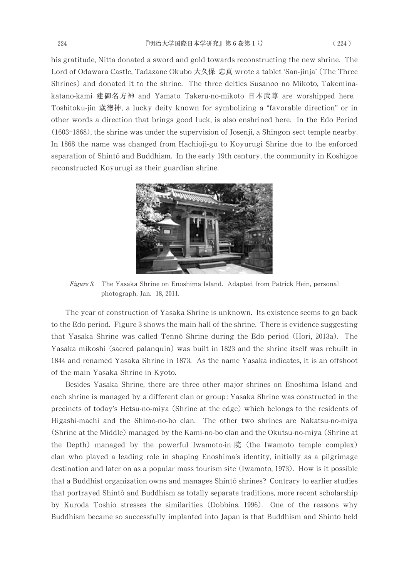his gratitude, Nitta donated a sword and gold towards reconstructing the new shrine. The Lord of Odawara Castle, Tadazane Okubo 大久保 忠真 wrote a tablet 'San-jinja' (The Three Shrines) and donated it to the shrine. The three deities Susanoo no Mikoto, Takeminakatano-kami 建御名方神 and Yamato Takeru-no-mikoto 日本武尊 are worshipped here. Toshitoku-jin 歳徳神, a lucky deity known for symbolizing a "favorable direction" or in other words a direction that brings good luck, is also enshrined here. In the Edo Period (1603-1868), the shrine was under the supervision of Josenji, a Shingon sect temple nearby. In 1868 the name was changed from Hachioji-gu to Koyurugi Shrine due to the enforced separation of Shinto and Buddhism. In the early 19th century, the community in Koshigoe reconstructed Koyurugi as their guardian shrine.



Figure 3. The Yasaka Shrine on Enoshima Island. Adapted from Patrick Hein, personal photograph, Jan. 18, 2011.

The year of construction of Yasaka Shrine is unknown. Its existence seems to go back to the Edoperiod. Figure 3 shows the main hall of the shrine. There is evidence suggesting that Yasaka Shrine was called Tenno Shrine during the Edo period (Hori, 2013a). The Yasaka mikoshi (sacred palanquin) was built in 1823 and the shrine itself was rebuilt in 1844 and renamed Yasaka Shrine in 1873. As the name Yasaka indicates, it is an offshoot of the main Yasaka Shrine in Kyoto.

Besides Yasaka Shrine, there are three other major shrines on Enoshima Island and each shrine is managed by a different clan or group: Yasaka Shrine was constructed in the precincts of today's Hetsu-no-miya (Shrine at the edge) which belongs to the residents of Higashi-machi and the Shimo-no-bo clan. The other two shrines are Nakatsu-no-miya (Shrine at the Middle) managed by the Kami-no-bo clan and the Okutsu-no-miya (Shrine at the Depth) managed by the powerful Iwamoto-in院 (the Iwamoto temple complex) clan who played a leading role in shaping Enoshima's identity, initially as a pilgrimage destination and later on as a popular mass tourism site (Iwamoto, 1973). How is it possible that a Buddhist organization owns and manages Shinto shrines? Contrary to earlier studies that portrayed Shinto and Buddhism as totally separate traditions, more recent scholarship by Kuroda Toshio stresses the similarities (Dobbins, 1996). One of the reasons why Buddhism became so successfully implanted into Japan is that Buddhism and Shinto held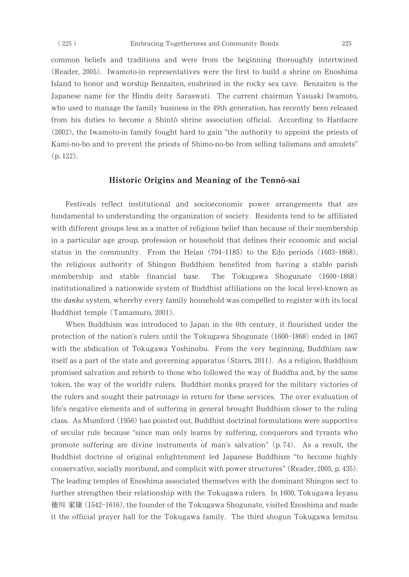common beliefs and traditions and were from the beginning thoroughly intertwined (Reader, 2005). Iwamoto-in representatives were the first to build a shrine on Enoshima Island to honor and worship Benzaiten, enshrined in the rocky sea cave. Benzaiten is the Japanese name for the Hindu deity Saraswati. The current chairman Yasuaki Iwamoto, who used to manage the family business in the 49th generation, has recently been released from his duties to become a Shintō shrine association official. According to Hardacre  $(2002)$ , the Iwamoto-in family fought hard to gain "the authority to appoint the priests of Kami-no-bo and to prevent the priests of Shimo-no-bo from selling talismans and amulets" (p.122).

## Historic Origins and Meaning of the Tennō-sai

Festivals reflect institutional and socioeconomic power arrangements that are fundamental to understanding the organization of society. Residents tend to be affiliated with different groups less as a matter of religious belief than because of their membership in a particular age group, profession or household that defines their economic and social status in the community. From the Heian  $(794-1185)$  to the Edoperiods  $(1603-1868)$ , the religious authority of Shingon Buddhism benefited from having a stable parish membership and stable financial base. The Tokugawa Shogunate (1600–1868) institutionalized a nationwide system of Buddhist affiliations on the local level-known as the danka system, whereby every family household was compelled to register with its local Buddhist temple (Tamamuro, 2001).

When Buddhism was introduced to Japan in the 6th century, it flourished under the protection of the nation's rulers until the Tokugawa Shogunate (1600–1868) ended in 1867 with the abdication of Tokugawa Yoshinobu. From the very beginning, Buddhism saw itself as a part of the state and governing apparatus (Starrs, 2011). As a religion, Buddhism promised salvation and rebirth to those who followed the way of Buddha and, by the same token, the way of the worldly rulers. Buddhist monks prayed for the military victories of the rulers and sought their patronage in return for these services. The over evaluation of life's negative elements and of suffering in general brought Buddhism closer to the ruling class. As Mumford (1956) has pointed out, Buddhist doctrinal formulations were supportive of secular rule because "since man only learns by suffering, conquerors and tyrants who promote suffering are divine instruments of man's salvation"  $(p.74)$ . As a result, the Buddhist doctrine of original enlightenment led Japanese Buddhism "to become highly conservative, socially moribund, and complicit with power structures" (Reader, 2005, p. 435). The leading temples of Enoshima associated themselves with the dominant Shingon sect to further strengthen their relationship with the Tokugawa rulers. In 1600, Tokugawa Ieyasu 徳川 家康 (1542-1616), the founder of the Tokugawa Shogunate, visited Enoshima and made it the official prayer hall for the Tokugawa family. The third shogun Tokugawa Iemitsu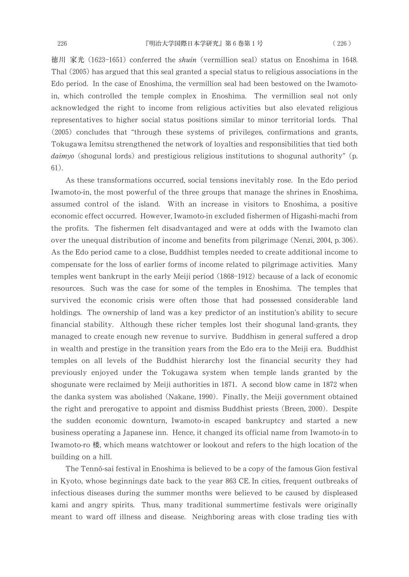徳川 家光 (1623–1651) conferred the shuin (vermillion seal) status on Enoshima in 1648. Thal (2005) has argued that this seal granted a special status to religious associations in the Edo period. In the case of Enoshima, the vermillion seal had been bestowed on the Iwamotoin, which controlled the temple complex in Enoshima. The vermillion seal not only acknowledged the right to income from religious activities but also elevated religious representatives to higher social status positions similar to minor territorial lords. Thal (2005) concludes that "through these systems of privileges, confirmations and grants, Tokugawa Iemitsu strengthened the network of loyalties and responsibilities that tied both daimyo (shogunal lords) and prestigious religious institutions to shogunal authority" (p. 61).

As these transformations occurred, social tensions inevitably rose. In the Edo period Iwamoto-in, the most powerful of the three groups that manage the shrines in Enoshima, assumed control of the island. With an increase in visitors to Enoshima, a positive economic effect occurred. However, Iwamoto-in excluded fishermen of Higashi-machi from the profits. The fishermen felt disadvantaged and were at odds with the Iwamoto clan over the unequal distribution of income and benefits from pilgrimage (Nenzi, 2004, p. 306). As the Edo period came to a close, Buddhist temples needed to create additional income to compensate for the loss of earlier forms of income related to pilgrimage activities. Many temples went bankrupt in the early Meiji period (1868–1912) because of a lack of economic resources. Such was the case for some of the temples in Enoshima. The temples that survived the economic crisis were often those that had possessed considerable land holdings. The ownership of land was a key predictor of an institution's ability to secure financial stability. Although these richer temples lost their shogunal land-grants, they managed to create enough new revenue to survive. Buddhism in general suffered a drop in wealth and prestige in the transition years from the Edo era to the Meiji era. Buddhist temples on all levels of the Buddhist hierarchy lost the financial security they had previously enjoyed under the Tokugawa system when temple lands granted by the shogunate were reclaimed by Meiji authorities in 1871. A second blow came in 1872 when the danka system was abolished (Nakane, 1990). Finally, the Meiji government obtained the right and prerogative to appoint and dismiss Buddhist priests (Breen, 2000). Despite the sudden economic downturn, Iwamoto-in escaped bankruptcy and started a new business operating a Japanese inn. Hence, it changed its official name from Iwamoto-in to Iwamoto-ro 楼, which means watchtower or lookout and refers to the high location of the building on a hill.

The Tennō-sai festival in Enoshima is believed to be a copy of the famous Gion festival in Kyoto, whose beginnings date back to the year 863 CE. In cities, frequent outbreaks of infectious diseases during the summer months were believed to be caused by displeased kami and angry spirits. Thus, many traditional summertime festivals were originally meant to ward off illness and disease. Neighboring areas with close trading ties with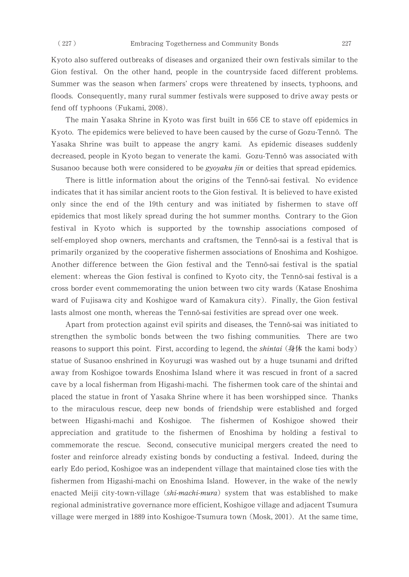Kyoto also suffered outbreaks of diseases and organized their own festivals similar to the Gion festival. On the other hand, people in the countryside faced different problems. Summer was the season when farmers' crops were threatened by insects, typhoons, and floods. Consequently, many rural summer festivals were supposed to drive away pests or fend off typhoons (Fukami, 2008).

The main Yasaka Shrine in Kyoto was first built in 656 CE to stave off epidemics in Kyoto. The epidemics were believed to have been caused by the curse of Gozu-Tennō. The Yasaka Shrine was built to appease the angry kami. As epidemic diseases suddenly decreased, people in Kyoto began to venerate the kami. Gozu-Tennō was associated with Susanoo because both were considered to be *gyoyaku jin* or deities that spread epidemics.

There is little information about the origins of the Tennō-sai festival. No evidence indicates that it has similar ancient roots to the Gion festival. It is believed to have existed only since the end of the 19th century and was initiated by fishermen to stave off epidemics that most likely spread during the hot summer months. Contrary to the Gion festivalin Kyoto which is supported by the township associations composed of self-employed shop owners, merchants and craftsmen, the Tennō-sai is a festival that is primarily organized by the cooperative fishermen associations of Enoshima and Koshigoe. Another difference between the Gion festival and the Tennō-sai festival is the spatial element: whereas the Gion festival is confined to Kyoto city, the Tennō-sai festival is a cross border event commemorating the union between two city wards (Katase Enoshima) ward of Fujisawa city and Koshigoe ward of Kamakura city). Finally, the Gion festival lasts almost one month, whereas the Tennō-sai festivities are spread over one week.

Apart from protection against evil spirits and diseases, the Tennō-sai was initiated to strengthen the symbolic bonds between the two fishing communities. There are two reasons to support this point. First, according to legend, the *shintai* (身体 the kami body) statue of Susanoo enshrined in Koyurugi was washed out by a huge tsunami and drifted away from Koshigoe towards Enoshima Island where it was rescued in front of a sacred cave by a local fisherman from Higashi-machi. The fishermen took care of the shintai and placed the statue in front of Yasaka Shrine where it has been worshipped since. Thanks to the miraculous rescue, deep new bonds of friendship were established and forged between Higashi-machiand Koshigoe. The fishermen of Koshigoe showed their appreciation and gratitude to the fishermen of Enoshima by holding a festival to commemorate the rescue. Second, consecutive municipal mergers created the need to foster and reinforce already existing bonds by conducting a festival. Indeed, during the early Edo period, Koshigoe was an independent village that maintained close ties with the fishermen from Higashi-machi on Enoshima Island. However, in the wake of the newly enacted Meiji city-town-village (shi-machi-mura) system that was established to make regional administrative governance more efficient, Koshigoe village and adjacent Tsumura village were merged in 1889 into Koshigoe-Tsumura town (Mosk, 2001). At the same time,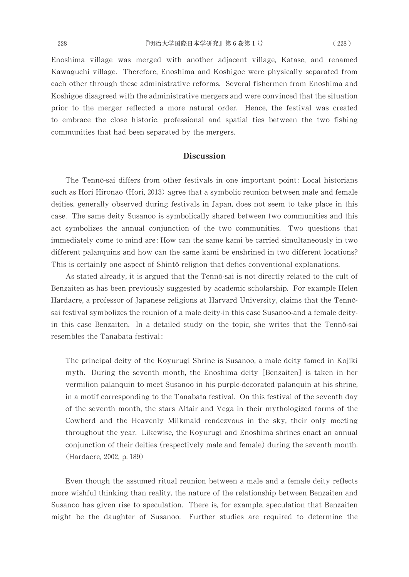Enoshima village was merged with another adjacent village, Katase, and renamed Kawaguchi village. Therefore, Enoshima and Koshigoe were physically separated from each other through these administrative reforms. Several fishermen from Enoshima and Koshigoe disagreed with the administrative mergers and were convinced that the situation prior to the merger reflected a more natural order. Hence, the festival was created to embrace the close historic, professional and spatial ties between the two fishing communities that had been separated by the mergers.

#### **Discussion**

The Tennō-sai differs from other festivals in one important point: Local historians such as Hori Hironao (Hori, 2013) agree that a symbolic reunion between male and female deities, generally observed during festivals in Japan, does not seem to take place in this case. The same deity Susanoo is symbolically shared between two communities and this act symbolizes the annual conjunction of the two communities. Two questions that immediately come to mind are: How can the same kami be carried simultaneously in two different palanquins and how can the same kami be enshrined in two different locations? This is certainly one aspect of Shintō religion that defies conventional explanations.

As stated already, it is argued that the Tennō-sai is not directly related to the cult of Benzaiten as has been previously suggested by academic scholarship. For example Helen Hardacre, a professor of Japanese religions at Harvard University, claims that the Tennōsai festival symbolizes the reunion of a male deity-in this case Susanoo-and a female deityin this case Benzaiten. In a detailed study on the topic, she writes that the Tennō-sai resembles the Tanabata festival:

The principal deity of the Koyurugi Shrine is Susanoo, a male deity famed in Kojiki myth. During the seventh month, the Enoshima deity [Benzaiten] is taken in her vermilion palanquin to meet Susanoo in his purple-decorated palanquin at his shrine, in a motif corresponding to the Tanabata festival. On this festival of the seventh day of the seventh month, the stars Altair and Vega in their mythologized forms of the Cowherd and the Heavenly Milkmaid rendezvous in the sky, their only meeting throughout the year. Likewise, the Koyurugi and Enoshima shrines enact an annual conjunction of their deities (respectively male and female) during the seventh month. (Hardacre, 2002, p. 189)

Even though the assumed ritual reunion between a male and a female deity reflects more wishful thinking than reality, the nature of the relationship between Benzaiten and Susanoo has given rise to speculation. There is, for example, speculation that Benzaiten might be the daughter of Susanoo. Further studies are required to determine the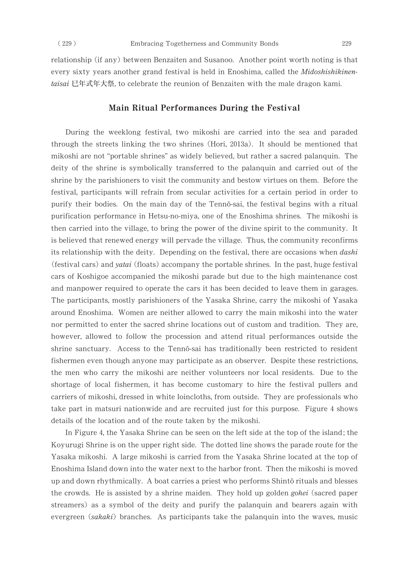relationship (if any) between Benzaiten and Susanoo. Another point worth noting is that every sixty years another grand festival is held in Enoshima, called the Midoshishikinentaisai 已年式年大祭, to celebrate the reunion of Benzaiten with the male dragon kami.

#### Main Ritual Performances During the Festival

During the weeklong festival, two mikoshi are carried into the sea and paraded through the streets linking the two shrines (Hori, 2013a). It should be mentioned that mikoshi are not "portable shrines" as widely believed, but rather a sacred palanquin. The deity of the shrine is symbolically transferred to the palanquin and carried out of the shrine by the parishioners to visit the community and bestow virtues on them. Before the festival, participants will refrain from secular activities for a certain period in order to purify their bodies. On the main day of the Tennō-sai, the festival begins with a ritual purification performance in Hetsu-no-miya, one of the Enoshima shrines. The mikoshi is then carried into the village, to bring the power of the divine spirit to the community. It is believed that renewed energy will pervade the village. Thus, the community reconfirms its relationship with the deity. Depending on the festival, there are occasions when *dashi* (festival cars) and *yatai* (floats) accompany the portable shrines. In the past, huge festival cars of Koshigoe accompanied the mikoshi parade but due to the high maintenance cost and manpower required to operate the cars it has been decided to leave them in garages. The participants, mostly parishioners of the Yasaka Shrine, carry the mikoshi of Yasaka around Enoshima. Women are neither allowed to carry the main mikoshi into the water nor permitted to enter the sacred shrine locations out of custom and tradition. They are, however, allowed to follow the procession and attend ritual performances outside the shrine sanctuary. Access to the Tennō-sai has traditionally been restricted to resident fishermen even though anyone may participate as an observer. Despite these restrictions, the men who carry the mikoshi are neither volunteers nor local residents. Due to the shortage of local fishermen, it has become customary to hire the festival pullers and carriers of mikoshi, dressed in white loincloths, from outside. They are professionals who take part in matsuri nationwide and are recruited just for this purpose. Figure 4 shows details of the location and of the route taken by the mikoshi.

In Figure 4, the Yasaka Shrine can be seen on the left side at the top of the island; the Koyurugi Shrine is on the upper right side. The dotted line shows the paraderoute for the Yasaka mikoshi. A large mikoshi is carried from the Yasaka Shrine located at the top of Enoshima Island down into the water next to the harbor front. Then the mikoshi is moved up and down rhythmically. A boat carries a priest who performs Shintō rituals and blesses the crowds. He is assisted by a shrine maiden. They hold up golden *gohei* (sacred paper streamers) as a symbol of the deity and purify the palanquin and bearers again with evergreen  $(sakaki)$  branches. As participants take the palanquin into the waves, music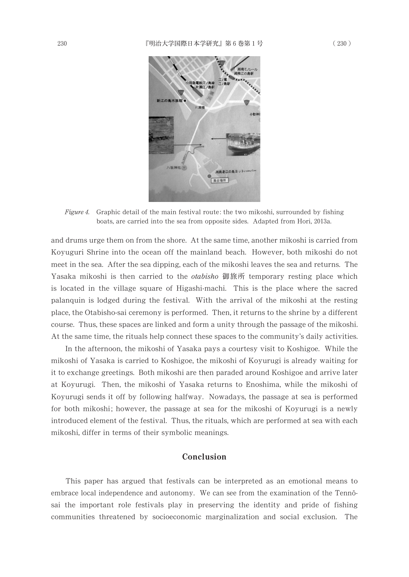

Figure 4. Graphic detail of the main festival route: the two mikoshi, surrounded by fishing boats, are carried into the sea from opposite sides. Adapted from Hori, 2013a.

and drums urge them on from the shore. At the same time, another mikoshi is carried from Koyuguri Shrine into the ocean off the mainland beach. However, both mikoshi do not meet in the sea. After the sea dipping, each of the mikoshi leaves the sea and returns. The Yasaka mikoshi is then carried to the *otabisho* 御旅所 temporary resting place which is located in the village square of Higashi-machi. This is the place where the sacred palanquin is lodged during the festival. With the arrival of the mikoshi at the resting place, the Otabisho-sai ceremony is performed. Then, it returns to the shrine by a different course. Thus, these spaces are linked and form a unity through the passage of the mikoshi. At the same time, the rituals help connect these spaces to the community's daily activities.

In the afternoon, the mikoshi of Yasaka pays a courtesy visit to Koshigoe. While the mikoshi of Yasaka is carried to Koshigoe, the mikoshi of Koyurugi is already waiting for it to exchange greetings. Both mikoshi are then paraded around Koshigoe and arrive later at Koyurugi. Then, the mikoshi of Yasaka returns to Enoshima, while the mikoshi of Koyurugi sends it off by following halfway. Nowadays, the passage at sea is performed for both mikoshi; however, the passage at sea for the mikoshi of Koyurugi is a newly introduced element of the festival. Thus, the rituals, which are performed at sea with each mikoshi, differ in terms of their symbolic meanings.

## Conclusion

This paper has argued that festivals can be interpreted as an emotional means to embrace local independence and autonomy. We can see from the examination of the Tennōsai the important role festivals play in preserving the identity and pride of fishing communities threatened by socioeconomic marginalization and social exclusion. The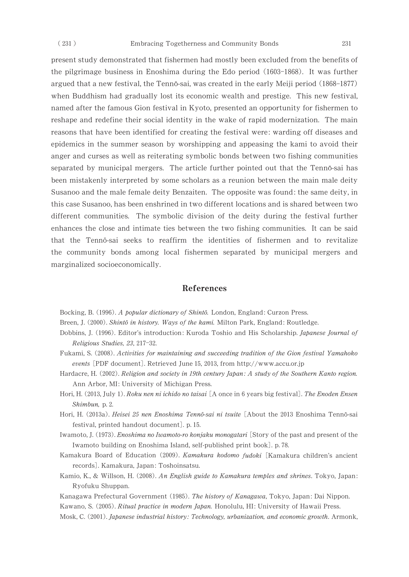present study demonstrated that fishermen had mostly been excluded from the benefits of the pilgrimage business in Enoshima during the Edo period (1603–1868). It was further argued that a new festival, the Tennō-sai, was created in the early Meiji period (1868-1877) when Buddhism had gradually lost its economic wealth and prestige. This new festival, named after the famous Gion festival in Kyoto, presented an opportunity for fishermen to reshape and redefine their social identity in the wake of rapid modernization. The main reasons that have been identified for creating the festival were: warding off diseases and epidemics in the summer season by worshipping and appeasing the kamitoavoid their anger and curses as well as reiterating symbolic bonds between two fishing communities separated by municipal mergers. The article further pointed out that the Tennō-sai has been mistakenly interpreted by some scholars as a reunion between the main male deity Susanoo and the male female deity Benzaiten. The opposite was found: the same deity, in this case Susanoo, has been enshrined in two different locations and is shared between two different communities. The symbolic division of the deity during the festival further enhances the close and intimate ties between the two fishing communities. It can be said that the Tenno-sai seeks to reaffirm the identities of fishermen and to revitalize the community bonds among local fishermen separated by municipal mergers and marginalized socioeconomically.

#### References

Bocking, B. (1996). A popular dictionary of Shintō. London, England: Curzon Press.

- Breen, J. (2000). *Shintō in history. Ways of the kami*. Milton Park, England: Routledge.
- Dobbins, J. (1996). Editor's introduction: Kuroda Toshio and His Scholarship. Japanese Journal of Religious Studies, 23, 217-32.
- Fukami, S. (2008). Activities for maintaining and succeeding tradition of the Gion festival Yamahoko events [PDF document]. Retrieved June 15, 2013, from http://www.accu.or.jp
- Hardacre, H. (2002). Religion and society in 19th century Japan: A study of the Southern Kanto region. Ann Arbor, MI: University of Michigan Press.
- Hori, H. (2013, July 1). Roku nen ni ichido no taisai [A once in 6 years big festival]. The Enoden Ensen Shimbun, p. 2.
- Hori, H. (2013a)*. Heisei 25 nen Enoshima Tennō-sai ni tsuite* [About the 2013 Enoshima Tennō-sai festival, printed handout document]. p. 15.
- Iwamoto, J. (1973). Enoshima no Iwamoto-ro konjaku monogatari [Story of the past and present of the Iwamoto building on Enoshima Island, self-published print book]. p.78.
- Kamakura Board of Education (2009). Kamakura kodomo fudoki [Kamakura children's ancient records].Kamakura,Japan:Toshoinsatsu.
- Kamio, K., & Willson, H. (2008). An English guide to Kamakura temples and shrines. Tokyo, Japan: Ryofuku Shuppan.
- Kanagawa Prefectural Government (1985). The history of Kanagawa, Tokyo, Japan: Dai Nippon.

Kawano, S. (2005). Ritual practice in modern Japan. Honolulu, HI: University of Hawaii Press.

Mosk, C. (2001). Japanese industrial history: Technology, urbanization, and economic growth. Armonk,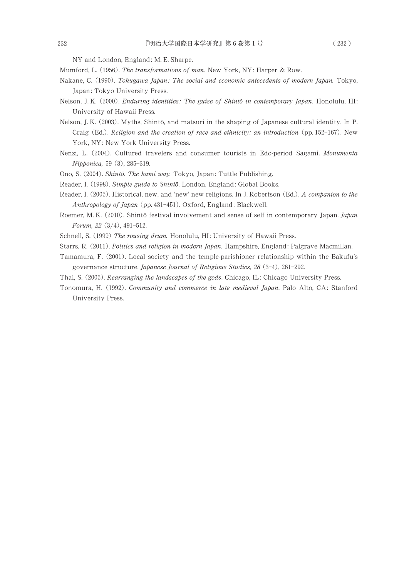NY and London, England: M. E. Sharpe.

- Mumford, L. (1956). The transformations of man. New York, NY: Harper & Row.
- Nakane, C. (1990). Tokugawa Japan: The social and economic antecedents of modern Japan. Tokyo, Japan: Tokyo University Press.
- Nelson, J. K. (2000). *Enduring identities: The guise of Shintō in contemporary Japan*. Honolulu, HI: University of Hawaii Press.
- Nelson, J. K. (2003). Myths, Shintō, and matsuri in the shaping of Japanese cultural identity. In P. Craig (Ed.). Religion and the creation of race and ethnicity: an introduction (pp. 152-167). New York, NY: New York University Press.
- Nenzi, L. (2004). Cultured travelers and consumer tourists in Edo-period Sagami. Monumenta Nipponica, 59 (3), 285-319.
- Ono, S. (2004). Shintō. The kami way. Tokyo, Japan: Tuttle Publishing.
- Reader, I. (1998). Simple guide to Shintō. London, England: Global Books.
- Reader, I. (2005). Historical, new, and 'new' new religions. In J. Robertson (Ed.), A companion to the Anthropology of Japan (pp. 431-451). Oxford, England: Blackwell.
- Roemer, M. K. (2010). Shintō festival involvement and sense of self in contemporary Japan. Japan Forum,  $22(3/4)$ , 491-512.
- Schnell, S. (1999) The rousing drum. Honolulu, HI: University of Hawaii Press.
- Starrs, R. (2011). Politics and religion in modern Japan. Hampshire, England: Palgrave Macmillan.
- Tamamura, F. (2001). Local society and the temple-parishioner relationship within the Bakufu's governance structure. Japanese Journal of Religious Studies, 28 (3-4), 261-292.
- Thal, S. (2005). Rearranging the landscapes of the gods. Chicago, IL: Chicago University Press.
- Tonomura, H. (1992). Community and commerce in late medieval Japan. Palo Alto, CA: Stanford University Press.